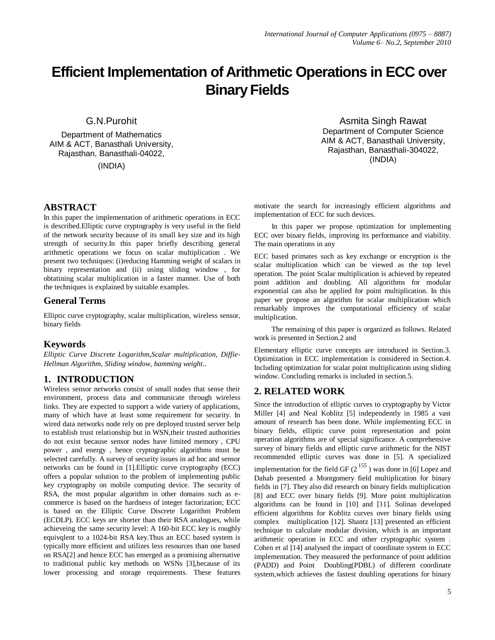# **Efficient Implementation of Arithmetic Operations in ECC over Binary Fields**

G.N.Purohit

Department of Mathematics AIM & ACT, Banasthali University, Rajasthan, Banasthali-04022, (INDIA)

### **ABSTRACT**

In this paper the implementation of arithmetic operations in ECC is described.Elliptic curve cryptography is very useful in the field of the network security because of its small key size and its high strength of security.In this paper briefly describing general arithmetic operations we focus on scalar multiplication . We present two techniques: (i)reducing Hamming weight of scalars in binary representation and (ii) using sliding window , for obtatining scalar multiplication in a faster manner. Use of both the techniques is explained by suitable examples.

#### **General Terms**

Elliptic curve cryptography, scalar multiplication, wireless sensor, binary fields

### **Keywords**

*Elliptic Curve Discrete Logarithm,Scalar multiplication, Diffie-Hellman Algorithm, Sliding window, hamming weight..*

### **1. INTRODUCTION**

Wireless sensor networks consist of small nodes that sense their environment, process data and communicate through wireless links. They are expected to support a wide variety of applications, many of which have at least some requirement for security. In wired data networks node rely on pre deployed trusted server help to establish trust relationship but in WSN,their trusted authorities do not exist because sensor nodes have limited memory , CPU power , and energy , hence cryptographic algorithms must be selected carefully. A survey of security issues in ad hoc and sensor networks can be found in [1].Elliptic curve cryptography (ECC) offers a popular solution to the problem of implementing public key cryptography on mobile computing device. The security of RSA, the most popular algorithm in other domains such as ecommerce is based on the hardness of integer factorization; ECC is based on the Elliptic Curve Discrete Logarithm Problem (ECDLP). ECC keys are shorter than their RSA analogues, while achieveing the same security level: A 160-bit ECC key is roughly equivqlent to a 1024-bit RSA key.Thus an ECC based system is typically more efficient and utilizes less resources than one based on RSA[2] and hence ECC has emerged as a promising alternative to traditional public key methods on WSNs [3],because of its lower processing and storage requirements. These features

 Asmita Singh Rawat Department of Computer Science AIM & ACT, Banasthali University, Rajasthan, Banasthali-304022, (INDIA)

motivate the search for increasingly efficient algorithms and implementation of ECC for such devices.

 In this paper we propose optimization for implementing ECC over binary fields, improving its performance and viability. The main operations in any

ECC based primates such as key exchange or encryption is the scalar multiplication which can be viewed as the top level operation. The point Scalar multiplication is achieved by repeated point addition and doubling. All algorithms for modular exponential can also be applied for point multiplication. In this paper we propose an algorithm for scalar multiplication which remarkably improves the computational efficiency of scalar multiplication.

 The remaining of this paper is organized as follows. Related work is presented in Section.2 and

Elementary elliptic curve concepts are introduced in Section.3. Optimization in ECC implementation is considered in Section.4. Including optimization for scalar point multiplication using sliding window. Concluding remarks is included in section.5.

### **2. RELATED WORK**

Since the introduction of elliptic curves to cryptography by Victor Miller [4] and Neal Koblitz [5] independently in 1985 a vast amount of research has been done. While implementing ECC in binary fields, elliptic curve point representation and point operation algorithms are of special significance. A comprehensive survey of binary fields and elliptic curve arithmetic for the NIST recommended elliptic curves was done in [5]. A specialized implementation for the field GF  $(2^{155})$  was done in [6] Lopez and Dahab presented a Montgomery field multiplication for binary fields in [7]. They also did research on binary fields multiplication [8] and ECC over binary fields [9]. More point multiplication algorithms can be found in [10] and [11]. Solinas developed efficient algorithms for Koblitz curves over binary fields using complex multiplication [12]. Shantz [13] presented an efficient technique to calculate modular division, which is an important arithmetic operation in ECC and other cryptographic system . Cohen et al [14] analysed the impact of coordinate system in ECC implementation. They measured the performance of point addition (PADD) and Point Doubling(PDBL) of different coordinate system,which achieves the fastest doubling operations for binary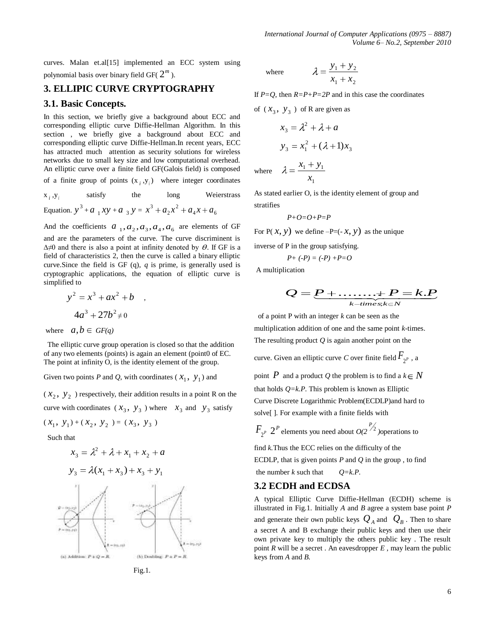curves. Malan et.al[15] implemented an ECC system using polynomial basis over binary field GF(  $2^m$  ).

# **3. ELLIPIC CURVE CRYPTOGRAPHY**

#### **3.1. Basic Concepts.**

In this section, we briefly give a background about ECC and corresponding elliptic curve Diffie-Hellman Algorithm. In this section , we briefly give a background about ECC and corresponding elliptic curve Diffie-Hellman.In recent years, ECC has attracted much attention as security solutions for wireless networks due to small key size and low computational overhead. An elliptic curve over a finite field GF(Galois field) is composed

of a finite group of points  $(x_i, y_i)$  where integer coordinates

 $\mathbf{x}_i, \mathbf{y}_i$ satisfy the long Weierstrass 2

Equation.  $y^3 + a_1 xy + a_3 y = x^3 + a_2 x^2 + a_4 x + a_6$ 2  $x^3 + a_2 x^2 + a_4 x + a$ 

And the coefficients  $a_1, a_2, a_3, a_4, a_6$  are elements of GF and are the parameters of the curve. The curve discriminent is  $\Delta \neq 0$  and there is also a point at infinity denoted by  $\theta$ . If GF is a field of characteristics 2, then the curve is called a binary elliptic curve.Since the field is GF (q), *q* is prime, is generally used is cryptographic applications, the equation of elliptic curve is simplified to

$$
y^{2} = x^{3} + ax^{2} + b
$$
  
 
$$
4a^{3} + 27b^{2} \neq 0
$$

where  $a, b \in GF(q)$ 

 The elliptic curve group operation is closed so that the addition of any two elements (points) is again an element (point0 of EC. The point at infinity O, is the identity element of the group.

Given two points *P* and *Q*, with coordinates ( $x_1$ ,  $y_1$ ) and

 $(x_2, y_2)$  respectively, their addition results in a point R on the curve with coordinates  $(x_3, y_3)$  where  $x_3$  and  $y_3$  satisfy

$$
(x_1, y_1) + (x_2, y_2) = (x_3, y_3)
$$

Su

2 *x x*<sup>1</sup> *x*<sup>2</sup> *a* 3 *y* (*x x* ) *x y* 3 1 3 3 1 



 $\overline{b_1}, \overline{c_1}$ 

where 
$$
\lambda = \frac{y_1 + y_2}{x_1 + x_2}
$$

If  $P=Q$ , then  $R=P+P=2P$  and in this case the coordinates

of  $(x_3, y_3)$  of R are given as

$$
x_3 = \lambda^2 + \lambda + a
$$
  

$$
y_3 = x_1^2 + (\lambda + 1)x_3
$$

where 1  $1 + y_1$ *x*

As stated earlier O, is the identity element of group and stratifies

$$
P+O=O+P=P
$$

For  $P(x, y)$  we define  $-P=(-x, y)$  as the unique

inverse of P in the group satisfying.

$$
P + (-P) = (-P) + P = O
$$

A multiplication

$$
Q = P + \dots + P = k.P
$$
<sub>k-times,k \in N</sub>

of a point P with an integer *k* can be seen as the multiplication addition of one and the same point *k*-times. The resulting product *Q* is again another point on the

curve. Given an elliptic curve *C* over finite field  $F_{2^p}$  , a

point  $P$  and a product  $Q$  the problem is to find a  $k \in N$ that holds *Q=k.P*. This problem is known as Elliptic Curve Discrete Logarithmic Problem(ECDLP)and hard to solve[ ]. For example with a finite fields with

 $F_{2^P}$  $2^P$  elements you need about  $O(2^P)$  ) operations to

find *k.*Thus the ECC relies on the difficulty of the ECDLP, that is given points  $P$  and  $Q$  in the group, to find the number  $k$  such that  $Q=k.P$ .

#### **3.2 ECDH and ECDSA**

A typical Elliptic Curve Diffie-Hellman (ECDH) scheme is illustrated in Fig.1. Initially *A* and *B* agree a system base point *P* and generate their own public keys  $Q_A$  and  $Q_B$ . Then to share a secret A and B exchange their public keys and then use their own private key to multiply the others public key . The result point  $R$  will be a secret. An eavesdropper  $E$ , may learn the public keys from *A* and *B.*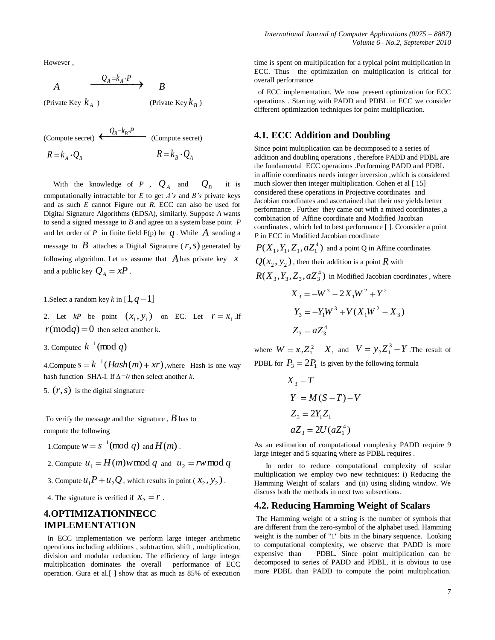However ,

$$
A \qquad \qquad \frac{Q_A = k_A \cdot P}{\longrightarrow} \qquad B
$$

(Private Key *A k*

(Private Key  $k_B$ )

(Compute secret)  $\leftarrow \frac{Q_B = k_B \cdot P}{P}$  (Compute secret)  $R = k_{A} \cdot Q_{B}$   $R = k_{B} \cdot Q_{A}$ 

With the knowledge of  $P$ ,  $Q_A$  and  $Q_B$  it is computationally intractable for *E* to get *A's* and *B's* private keys and as such *E* cannot Figure out *R*. ECC can also be used for Digital Signature Algorithms (EDSA), similarly. Suppose *A* wants to send a signed message to *B* and agree on a system base point *P*  and let order of *P* in finite field  $F(p)$  be  $q$ . While  $A$  sending a message to  $\hat{B}$  attaches a Digital Signature ( $r, s$ ) generated by following algorithm. Let us assume that *A* has private key *x* and a public key  $Q_A = xP$ .

1. Select a random key *k* in  $[1, q-1]$ 

2. Let  $kP$  be point  $(x_1, y_1)$  on EC. Let  $r = x_1$ . If  $r(\text{mod}q) = 0$  then select another k.

3. Computec  $k^{-1} \pmod{q}$ 

4. Compute  $s = k^{-1} (Hash(m) + xr)$ , where Hash is one way hash function SHA-I. If *∆=0* then select another *k*.

5.  $(r, s)$  is the digital singnature

To verify the message and the signature , *B* has to compute the following

- 1. Compute  $w = s^{-1} \pmod{q}$  and  $H(m)$ .
- 2. Compute  $u_1 = H(m)$ *w* mod *q* and  $u_2 = rw$  mod *q*
- 3. Compute  $u_1P + u_2Q$ , which results in point ( $x_2, y_2$ ).
- 4. The signature is verified if  $x_2 = r$ .

## **4.OPTIMIZATIONINECC IMPLEMENTATION**

 In ECC implementation we perform large integer arithmetic operations including additions , subtraction, shift , multiplication, division and modular reduction. The efficiency of large integer multiplication dominates the overall performance of ECC operation. Gura et al.[ ] show that as much as 85% of execution time is spent on multiplication for a typical point multiplication in ECC. Thus the optimization on multiplication is critical for overall performance

 of ECC implementation. We now present optimization for ECC operations . Starting with PADD and PDBL in ECC we consider different optimization techniques for point multiplication.

#### **4.1***.* **ECC Addition and Doubling**

Since point multiplication can be decomposed to a series of addition and doubling operations , therefore PADD and PDBL are the fundamental ECC operations .Performing PADD and PDBL in affinie coordinates needs integer inversion ,which is considered much slower then integer multiplication. Cohen et al [15] considered these operations in Projective coordinates and Jacobian coordinates and ascertained that their use yields better performance . Further they came out with a mixed coordinates ,a combination of Affine coordinate and Modified Jacobian coordinates , which led to best performance [ ]. Cconsider a point *P* in ECC in Modified Jacobian coordinate

 $P(X_1, Y_1, Z_1, aZ_1^4)$  and a point Q in Affine coordinates

 $Q(x_2, y_2)$  , then their addition is a point  $R$  with

$$
R(X_3, Y_3, Z_3, aZ_3^4)
$$
 in Modified Jacobian coordinates, where

$$
X_3 = -W^3 - 2X_1W^2 + Y^2
$$
  
\n
$$
Y_3 = -Y_1W^3 + V(X_1W^2 - X_3)
$$
  
\n
$$
Z_3 = aZ_3^4
$$

where  $W = x_2 Z_1^2 - X_1$  and  $V = y_2 Z_1^3 - Y_1^3$  $_{2}Z_{1}^{3}-Y$ . The result of PDBL for  $P_3 = 2P_1$  is given by the following formula

$$
X_3 = T
$$
  
\n
$$
Y = M(S - T) - V
$$
  
\n
$$
Z_3 = 2Y_1Z_1
$$
  
\n
$$
aZ_3 = 2U(aZ_1^4)
$$

As an estimation of computational complexity PADD require 9 large integer and 5 squaring where as PDBL requires .

 In order to reduce computational complexity of scalar multiplication we employ two new techniques: i) Reducing the Hamming Weight of scalars and (ii) using sliding window. We discuss both the methods in next two subsections.

#### **4.2. Reducing Hamming Weight of Scalars**

The Hamming weight of a string is the number of symbols that are different from the zero-symbol of the alphabet used. Hamming weight is the number of "1" bits in the binary sequence. Looking to computational complexity, we observe that PADD is more expensive than PDBL. Since point multiplication can be decomposed to series of PADD and PDBL, it is obvious to use more PDBL than PADD to compute the point multiplication.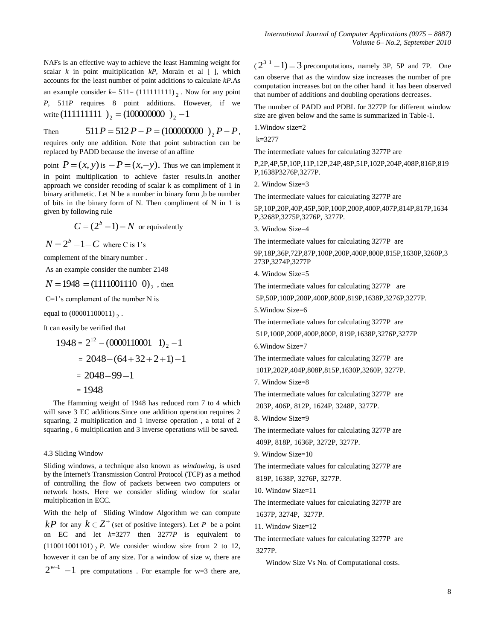NAFs is an effective way to achieve the least Hamming weight for scalar *k* in point multiplication *kP*, Morain et al [ ], which accounts for the least number of point additions to calculate *kP*.As an example consider  $k=511=(111111111)_2$ . Now for any point *P*, 511*P* requires 8 point additions. However, if we write  $(111111111)_{2} = (10000000)_{2} - 1$ 

Then  $511P = 512P - P = (100000000)$ <sub>2</sub> $P - P$ , requires only one addition. Note that point subtraction can be replaced by PADD because the inverse of an affine

point  $P = (x, y)$  is  $-P = (x, -y)$ . Thus we can implement it in point multiplication to achieve faster results.In another approach we consider recoding of scalar k as compliment of 1 in binary arithmetic. Let N be a number in binary form ,b be number of bits in the binary form of N. Then compliment of N in 1 is given by following rule

$$
C = (2b - 1) - N
$$
 or equivalently

 $N = 2<sup>b</sup> - 1 - C$  where C is 1's

complement of the binary number .

As an example consider the number 2148

$$
N = 1948 = (1111001110 \ 0)_2
$$
, then

C=1's complement of the number N is

equal to  $(00001100011)_{2}$ .

It can easily be verified that

$$
1948 = 212 - (0000110001 1)2 - 1
$$
  
= 2048 - (64 + 32 + 2 + 1) - 1  
= 2048 - 99 - 1  
= 1948

 The Hamming weight of 1948 has reduced rom 7 to 4 which will save 3 EC additions.Since one addition operation requires 2 squaring, 2 multiplication and 1 inverse operation , a total of 2 squaring , 6 multiplication and 3 inverse operations will be saved.

#### 4.3 Sliding Window

Sliding windows, a technique also known as *windowing*, is used by the Internet's Transmission Control Protocol (TCP) as a method of controlling the flow of packets between two computers or network hosts. Here we consider sliding window for scalar multiplication in ECC.

With the help of Sliding Window Algorithm we can compute  $kP$  for any  $k \in \mathbb{Z}^+$  (set of positive integers). Let *P* be a point on EC and let  $k=3277$  then  $3277P$  is equivalent to  $(110011001101)$ <sub>2</sub> *P*. We consider window size from 2 to 12, however it can be of any size. For a window of size *w*, there are  $2^{w-1}$  -1 pre computations. For example for w=3 there are,

 $(2^{3-1}-1) = 3$  precomputations, namely 3P, 5P and 7P. One can observe that as the window size increases the number of pre computation increases but on the other hand it has been observed that number of additions and doubling operations decreases.

The number of PADD and PDBL for 3277P for different window size are given below and the same is summarized in Table-1.

1.Window size=2

 $k=3277$ 

The intermediate values for calculating 3277P are

P,2P,4P,5P,10P,11P,12P,24P,48P,51P,102P,204P,408P,816P,819 P,1638P3276P,3277P.

2. Window Size=3

The intermediate values for calculating 3277P are

5P,10P,20P,40P,45P,50P,100P,200P,400P,407P,814P,817P,1634 P,3268P,3275P,3276P, 3277P.

3. Window Size=4

The intermediate values for calculating 3277P are

9P,18P,36P,72P,87P,100P,200P,400P,800P,815P,1630P,3260P,3 273P,3274P,3277P

4. Window Size=5

The intermediate values for calculating 3277P are

5P,50P,100P,200P,400P,800P,819P,1638P,3276P,3277P.

5.Window Size=6

The intermediate values for calculating 3277P are

51P,100P,200P,400P,800P, 819P,1638P,3276P,3277P

6.Window Size=7

The intermediate values for calculating 3277P are 101P,202P,404P,808P,815P,1630P,3260P, 3277P.

7. Window Size=8

The intermediate values for calculating 3277P are 203P, 406P, 812P, 1624P, 3248P, 3277P.

8. Window Size=9

The intermediate values for calculating 3277P are 409P, 818P, 1636P, 3272P, 3277P.

9. Window Size=10

The intermediate values for calculating 3277P are

819P, 1638P, 3276P, 3277P.

10. Window Size=11

The intermediate values for calculating 3277P are 1637P, 3274P, 3277P.

11. Window Size=12

The intermediate values for calculating 3277P are 3277P.

Window Size Vs No. of Computational costs.